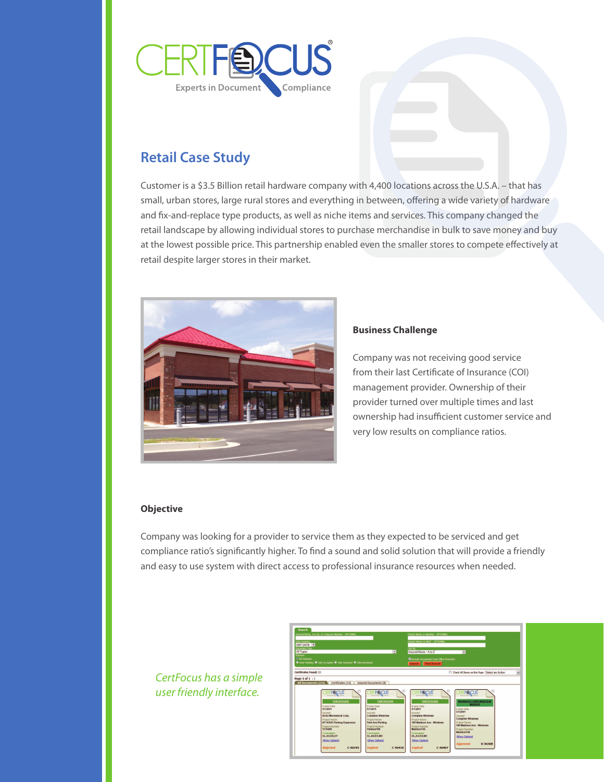

# **Retail Case Study**

Customer is a \$3.5 Billion retail hardware company with 4,400 locations across the U.S.A. – that has small, urban stores, large rural stores and everything in between, offering a wide variety of hardware and fix-and-replace type products, as well as niche items and services. This company changed the retail landscape by allowing individual stores to purchase merchandise in bulk to save money and buy at the lowest possible price. This partnership enabled even the smaller stores to compete effectively at retail despite larger stores in their market.



## **Business Challenge**

Company was not receiving good service from their last Certificate of Insurance (COI) management provider. Ownership of their provider turned over multiple times and last ownership had insufficient customer service and very low results on compliance ratios.

### **Objective**

Company was looking for a provider to service them as they expected to be serviced and get compliance ratio's significantly higher. To find a sound and solid solution that will provide a friendly and easy to use system with direct access to professional insurance resources when needed.

*CertFocus has a simple user friendly interface.*